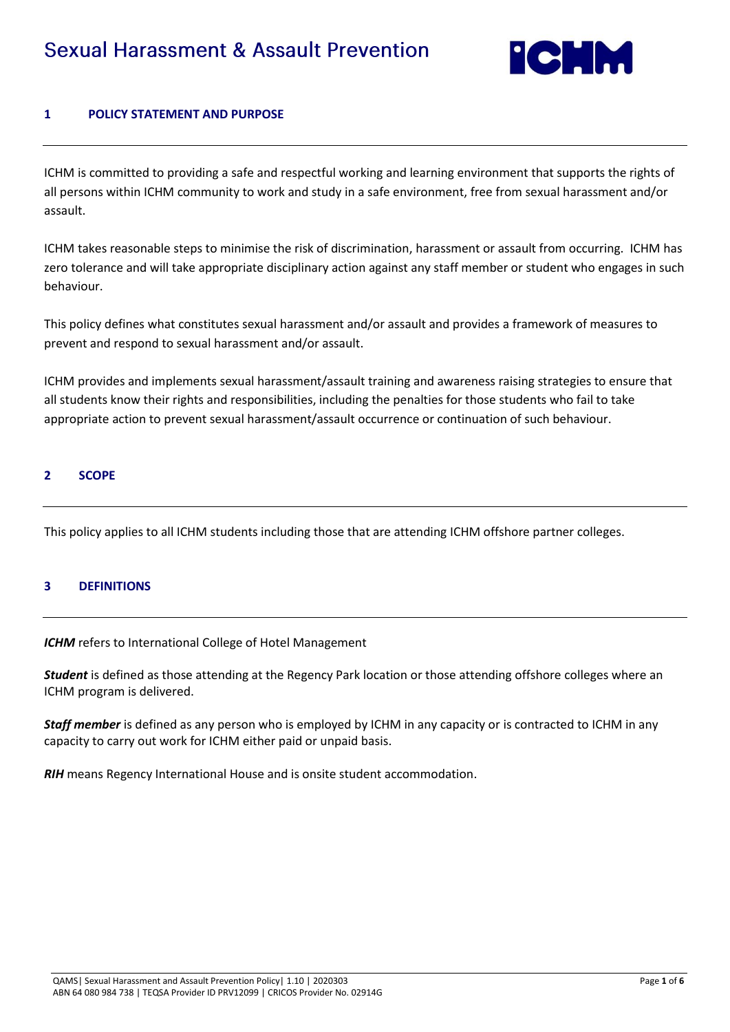

### **1 POLICY STATEMENT AND PURPOSE**

ICHM is committed to providing a safe and respectful working and learning environment that supports the rights of all persons within ICHM community to work and study in a safe environment, free from sexual harassment and/or assault.

ICHM takes reasonable steps to minimise the risk of discrimination, harassment or assault from occurring. ICHM has zero tolerance and will take appropriate disciplinary action against any staff member or student who engages in such behaviour.

This policy defines what constitutes sexual harassment and/or assault and provides a framework of measures to prevent and respond to sexual harassment and/or assault.

ICHM provides and implements sexual harassment/assault training and awareness raising strategies to ensure that all students know their rights and responsibilities, including the penalties for those students who fail to take appropriate action to prevent sexual harassment/assault occurrence or continuation of such behaviour.

#### **2 SCOPE**

This policy applies to all ICHM students including those that are attending ICHM offshore partner colleges.

### **3 DEFINITIONS**

*ICHM* refers to International College of Hotel Management

*Student* is defined as those attending at the Regency Park location or those attending offshore colleges where an ICHM program is delivered.

*Staff member* is defined as any person who is employed by ICHM in any capacity or is contracted to ICHM in any capacity to carry out work for ICHM either paid or unpaid basis.

*RIH* means Regency International House and is onsite student accommodation.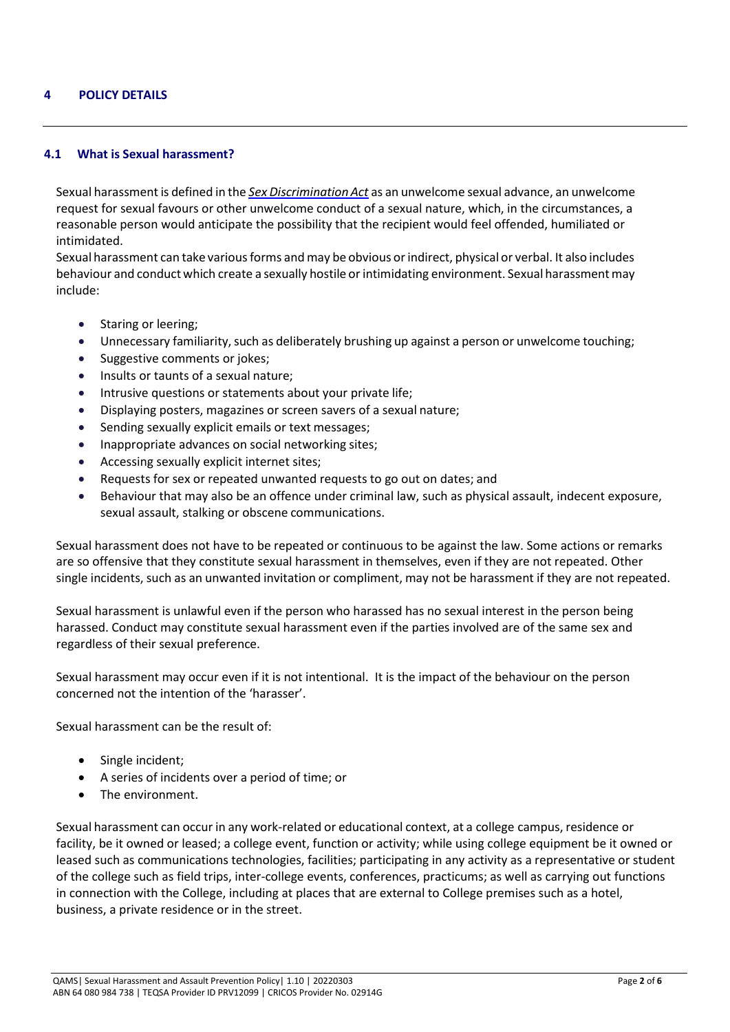#### **4 POLICY DETAILS**

#### **4.1 What is Sexual harassment?**

Sexual harassmentis defined in the *Sex [Discrimination](https://www.legislation.gov.au/Details/C2013C00532) Act* as an unwelcome sexual advance, an unwelcome request for sexual favours or other unwelcome conduct of a sexual nature, which, in the circumstances, a reasonable person would anticipate the possibility that the recipient would feel offended, humiliated or intimidated.

Sexual harassment can take various forms and may be obvious or indirect, physical or verbal. It also includes behaviour and conduct which create a sexually hostile or intimidating environment. Sexual harassment may include:

- Staring or leering;
- Unnecessary familiarity, such as deliberately brushing up against a person or unwelcome touching;
- Suggestive comments or jokes;
- Insults or taunts of a sexual nature;
- Intrusive questions or statements about your private life;
- Displaying posters, magazines or screen savers of a sexual nature;
- Sending sexually explicit emails or text messages;
- Inappropriate advances on social networking sites;
- Accessing sexually explicit internet sites;
- Requests for sex or repeated unwanted requests to go out on dates; and
- Behaviour that may also be an offence under criminal law, such as physical assault, indecent exposure, sexual assault, stalking or obscene communications.

Sexual harassment does not have to be repeated or continuous to be against the law. Some actions or remarks are so offensive that they constitute sexual harassment in themselves, even if they are not repeated. Other single incidents, such as an unwanted invitation or compliment, may not be harassment if they are not repeated.

Sexual harassment is unlawful even if the person who harassed has no sexual interest in the person being harassed. Conduct may constitute sexual harassment even if the parties involved are of the same sex and regardless of their sexual preference.

Sexual harassment may occur even if it is not intentional. It is the impact of the behaviour on the person concerned not the intention of the 'harasser'.

Sexual harassment can be the result of:

- Single incident;
- A series of incidents over a period of time; or
- The environment.

Sexual harassment can occur in any work-related or educational context, at a college campus, residence or facility, be it owned or leased; a college event, function or activity; while using college equipment be it owned or leased such as communications technologies, facilities; participating in any activity as a representative or student of the college such as field trips, inter-college events, conferences, practicums; as well as carrying out functions in connection with the College, including at places that are external to College premises such as a hotel, business, a private residence or in the street.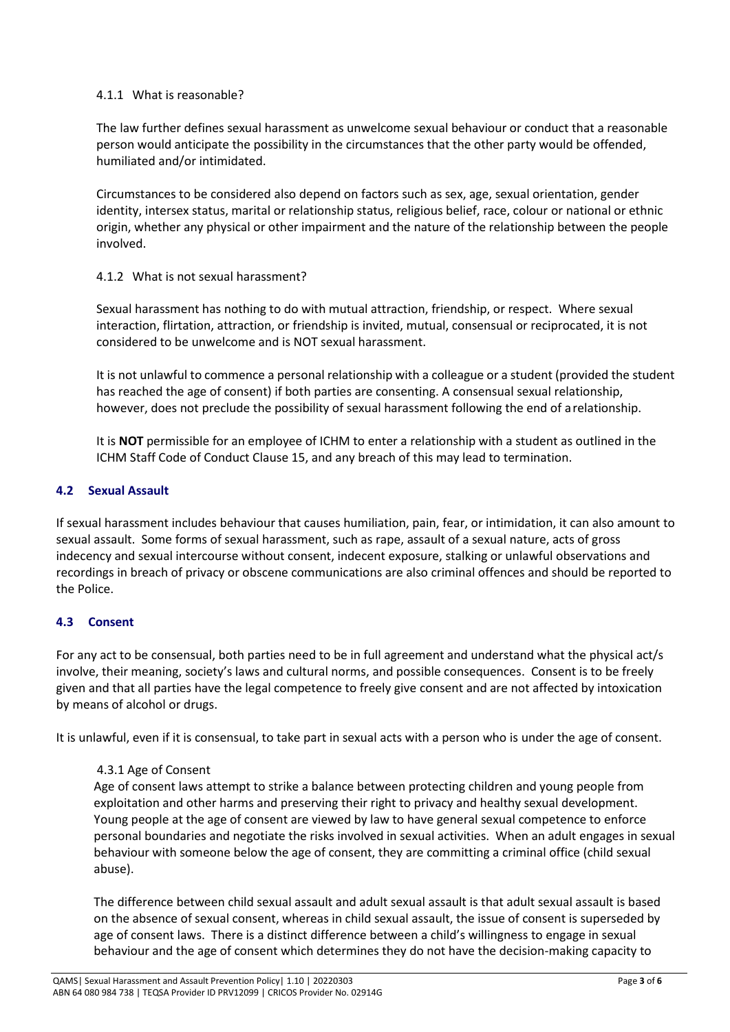### 4.1.1 What is reasonable?

The law further defines sexual harassment as unwelcome sexual behaviour or conduct that a reasonable person would anticipate the possibility in the circumstances that the other party would be offended, humiliated and/or intimidated.

Circumstances to be considered also depend on factors such as sex, age, sexual orientation, gender identity, intersex status, marital or relationship status, religious belief, race, colour or national or ethnic origin, whether any physical or other impairment and the nature of the relationship between the people involved.

## 4.1.2 What is not sexual harassment?

Sexual harassment has nothing to do with mutual attraction, friendship, or respect. Where sexual interaction, flirtation, attraction, or friendship is invited, mutual, consensual or reciprocated, it is not considered to be unwelcome and is NOT sexual harassment.

It is not unlawful to commence a personal relationship with a colleague or a student (provided the student has reached the age of consent) if both parties are consenting. A consensual sexual relationship, however, does not preclude the possibility of sexual harassment following the end of arelationship.

It is **NOT** permissible for an employee of ICHM to enter a relationship with a student as outlined in the ICHM Staff Code of Conduct Clause 15, and any breach of this may lead to termination.

## **4.2 Sexual Assault**

If sexual harassment includes behaviour that causes humiliation, pain, fear, or intimidation, it can also amount to sexual assault. Some forms of sexual harassment, such as rape, assault of a sexual nature, acts of gross indecency and sexual intercourse without consent, indecent exposure, stalking or unlawful observations and recordings in breach of privacy or obscene communications are also criminal offences and should be reported to the Police.

# **4.3 Consent**

For any act to be consensual, both parties need to be in full agreement and understand what the physical act/s involve, their meaning, society's laws and cultural norms, and possible consequences. Consent is to be freely given and that all parties have the legal competence to freely give consent and are not affected by intoxication by means of alcohol or drugs.

It is unlawful, even if it is consensual, to take part in sexual acts with a person who is under the age of consent.

### 4.3.1 Age of Consent

Age of consent laws attempt to strike a balance between protecting children and young people from exploitation and other harms and preserving their right to privacy and healthy sexual development. Young people at the age of consent are viewed by law to have general sexual competence to enforce personal boundaries and negotiate the risks involved in sexual activities. When an adult engages in sexual behaviour with someone below the age of consent, they are committing a criminal office (child sexual abuse).

The difference between child sexual assault and adult sexual assault is that adult sexual assault is based on the absence of sexual consent, whereas in child sexual assault, the issue of consent is superseded by age of consent laws. There is a distinct difference between a child's willingness to engage in sexual behaviour and the age of consent which determines they do not have the decision-making capacity to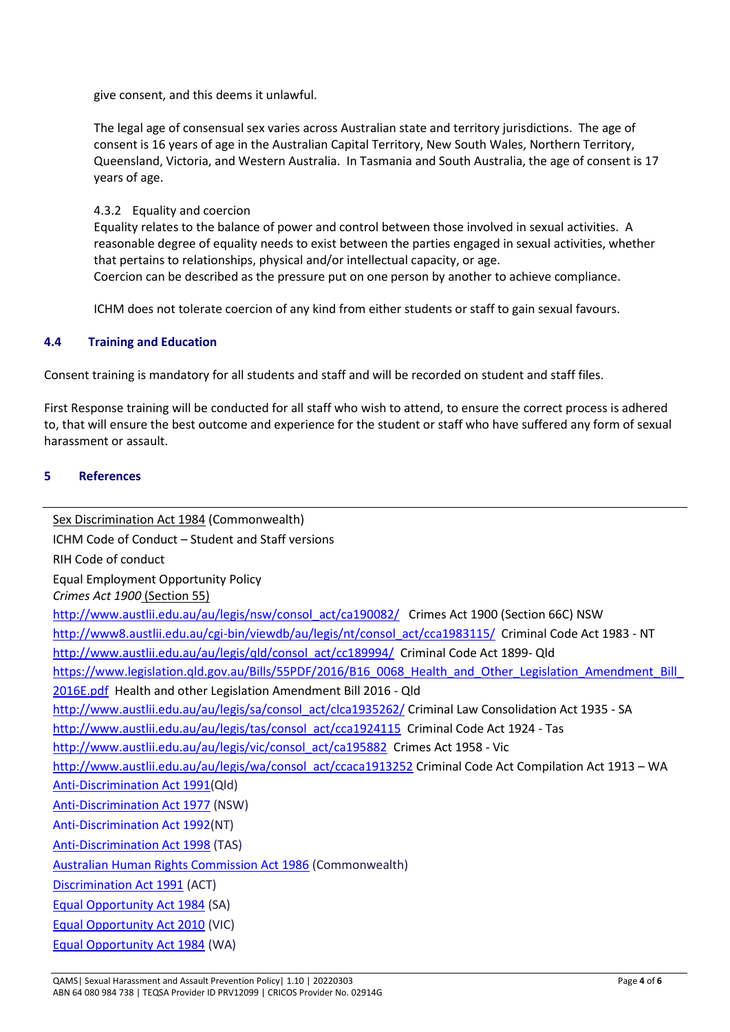give consent, and this deems it unlawful.

The legal age of consensual sex varies across Australian state and territory jurisdictions. The age of consent is 16 years of age in the Australian Capital Territory, New South Wales, Northern Territory, Queensland, Victoria, and Western Australia. In Tasmania and South Australia, the age of consent is 17 years of age.

#### 4.3.2 Equality and coercion

Equality relates to the balance of power and control between those involved in sexual activities. A reasonable degree of equality needs to exist between the parties engaged in sexual activities, whether that pertains to relationships, physical and/or intellectual capacity, or age. Coercion can be described as the pressure put on one person by another to achieve compliance.

ICHM does not tolerate coercion of any kind from either students or staff to gain sexual favours.

#### **4.4 Training and Education**

Consent training is mandatory for all students and staff and will be recorded on student and staff files.

First Response training will be conducted for all staff who wish to attend, to ensure the correct process is adhered to, that will ensure the best outcome and experience for the student or staff who have suffered any form of sexual harassment or assault.

#### **5 References**

[Sex Discrimination Act 1984](https://www.legislation.gov.au/Details/C2013C00532) (Commonwealth) ICHM Code of Conduct – Student and Staff versions RIH Code of conduct Equal Employment Opportunity Policy *[Crimes Act 1900](http://www.austlii.edu.au/au/legis/act/consol_act/ca190082/)* (Section 55) [http://www.austlii.edu.au/au/legis/nsw/consol\\_act/ca190082/](http://www.austlii.edu.au/au/legis/nsw/consol_act/ca190082/) Crimes Act 1900 (Section 66C) NSW [http://www8.austlii.edu.au/cgi-bin/viewdb/au/legis/nt/consol\\_act/cca1983115/](http://www8.austlii.edu.au/cgi-bin/viewdb/au/legis/nt/consol_act/cca1983115/) Criminal Code Act 1983 - NT [http://www.austlii.edu.au/au/legis/qld/consol\\_act/cc189994/](http://www.austlii.edu.au/au/legis/qld/consol_act/cc189994/) Criminal Code Act 1899- Qld [https://www.legislation.qld.gov.au/Bills/55PDF/2016/B16\\_0068\\_Health\\_and\\_Other\\_Legislation\\_Amendment\\_Bill\\_](https://www.legislation.qld.gov.au/Bills/55PDF/2016/B16_0068_Health_and_Other_Legislation_Amendment_Bill_2016E.pdf) [2016E.pdf](https://www.legislation.qld.gov.au/Bills/55PDF/2016/B16_0068_Health_and_Other_Legislation_Amendment_Bill_2016E.pdf) Health and other Legislation Amendment Bill 2016 - Qld [http://www.austlii.edu.au/au/legis/sa/consol\\_act/clca1935262/](http://www.austlii.edu.au/au/legis/sa/consol_act/clca1935262/) Criminal Law Consolidation Act 1935 - SA [http://www.austlii.edu.au/au/legis/tas/consol\\_act/cca1924115](http://www.austlii.edu.au/au/legis/tas/consol_act/cca1924115) Criminal Code Act 1924 - Tas [http://www.austlii.edu.au/au/legis/vic/consol\\_act/ca195882](http://www.austlii.edu.au/au/legis/vic/consol_act/ca195882) Crimes Act 1958 - Vic [http://www.austlii.edu.au/au/legis/wa/consol\\_act/ccaca1913252](http://www.austlii.edu.au/au/legis/wa/consol_act/ccaca1913252) Criminal Code Act Compilation Act 1913 – WA [Anti-Discrimination Act 1991\(](http://www.austlii.edu.au/au/legis/qld/consol_act/aa1991204/)Qld) [Anti-Discrimination Act 1977](http://www.austlii.edu.au/au/legis/nsw/consol_act/aa1977204/) (NSW) [Anti-Discrimination Act 1992\(](https://legislation.nt.gov.au/Search/~/link.aspx?_id=CC1A6ED73BDE459085AD903F88351258&amp%3B_z=z)NT) [Anti-Discrimination Act 1998](http://www.thelaw.tas.gov.au/tocview/index.w3p%3Bcond%3DALL%3Bdoc_id%3D46%2B%2B1998%2BAT%40EN%2B20170713140000%3Bhiston%3D%3Bpdfauthverid%3D%3Bprompt%3D%3Brec%3D%3Brtfauthverid%3D%3Bterm%3Danti%3Bwebauthverid%3D) (TAS) [Australian Human Rights Commission Act 1986](https://www.legislation.gov.au/Details/C2016C00711) (Commonwealth) [Discrimination Act 1991](https://www.legislation.act.gov.au/a/1991-81/) (ACT) [Equal Opportunity Act 1984](https://www.legislation.sa.gov.au/LZ/C/A/EQUAL%20OPPORTUNITY%20ACT%201984.aspx) (SA) [Equal Opportunity Act 2010](http://www.austlii.edu.au/au/legis/vic/consol_act/eoa2010250/) (VIC) [Equal Opportunity Act 1984](https://www.legislation.wa.gov.au/legislation/prod/filestore.nsf/FileURL/mrdoc_37090.pdf/$FILE/Equal%20Opportunity%20Act%201984%20-%20%5B07-d0-00%5D.pdf?OpenElement) (WA)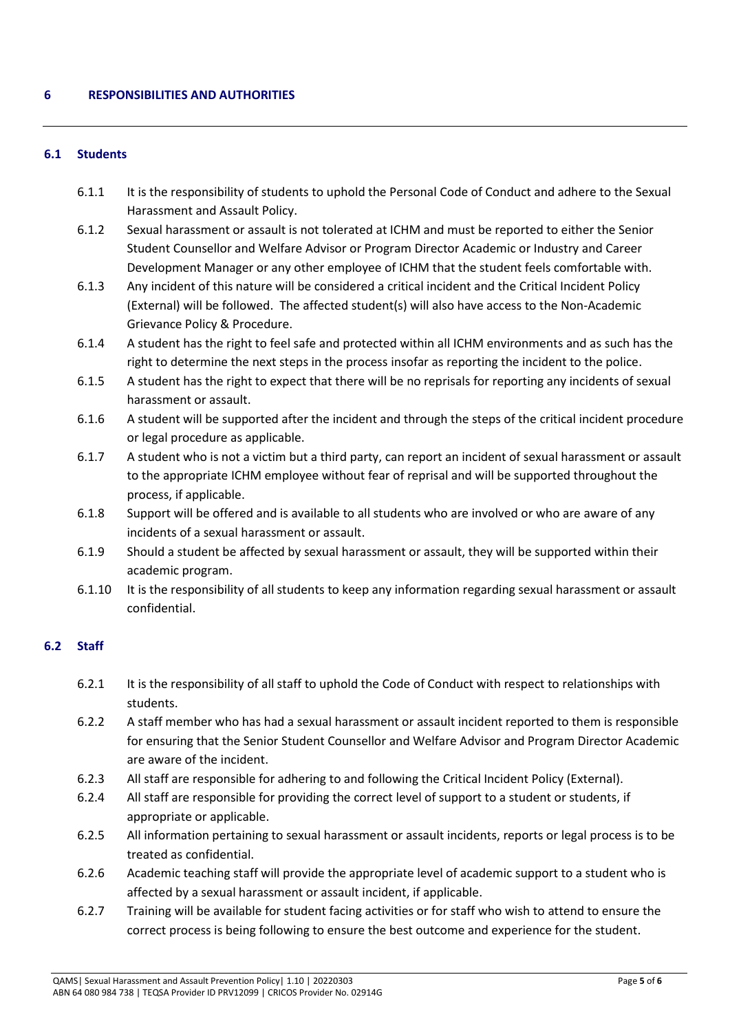### **6.1 Students**

- 6.1.1 It is the responsibility of students to uphold the Personal Code of Conduct and adhere to the Sexual Harassment and Assault Policy.
- 6.1.2 Sexual harassment or assault is not tolerated at ICHM and must be reported to either the Senior Student Counsellor and Welfare Advisor or Program Director Academic or Industry and Career Development Manager or any other employee of ICHM that the student feels comfortable with.
- 6.1.3 Any incident of this nature will be considered a critical incident and the Critical Incident Policy (External) will be followed. The affected student(s) will also have access to the Non-Academic Grievance Policy & Procedure.
- 6.1.4 A student has the right to feel safe and protected within all ICHM environments and as such has the right to determine the next steps in the process insofar as reporting the incident to the police.
- 6.1.5 A student has the right to expect that there will be no reprisals for reporting any incidents of sexual harassment or assault.
- 6.1.6 A student will be supported after the incident and through the steps of the critical incident procedure or legal procedure as applicable.
- 6.1.7 A student who is not a victim but a third party, can report an incident of sexual harassment or assault to the appropriate ICHM employee without fear of reprisal and will be supported throughout the process, if applicable.
- 6.1.8 Support will be offered and is available to all students who are involved or who are aware of any incidents of a sexual harassment or assault.
- 6.1.9 Should a student be affected by sexual harassment or assault, they will be supported within their academic program.
- 6.1.10 It is the responsibility of all students to keep any information regarding sexual harassment or assault confidential.

### **6.2 Staff**

- 6.2.1 It is the responsibility of all staff to uphold the Code of Conduct with respect to relationships with students.
- 6.2.2 A staff member who has had a sexual harassment or assault incident reported to them is responsible for ensuring that the Senior Student Counsellor and Welfare Advisor and Program Director Academic are aware of the incident.
- 6.2.3 All staff are responsible for adhering to and following the Critical Incident Policy (External).
- 6.2.4 All staff are responsible for providing the correct level of support to a student or students, if appropriate or applicable.
- 6.2.5 All information pertaining to sexual harassment or assault incidents, reports or legal process is to be treated as confidential.
- 6.2.6 Academic teaching staff will provide the appropriate level of academic support to a student who is affected by a sexual harassment or assault incident, if applicable.
- 6.2.7 Training will be available for student facing activities or for staff who wish to attend to ensure the correct process is being following to ensure the best outcome and experience for the student.